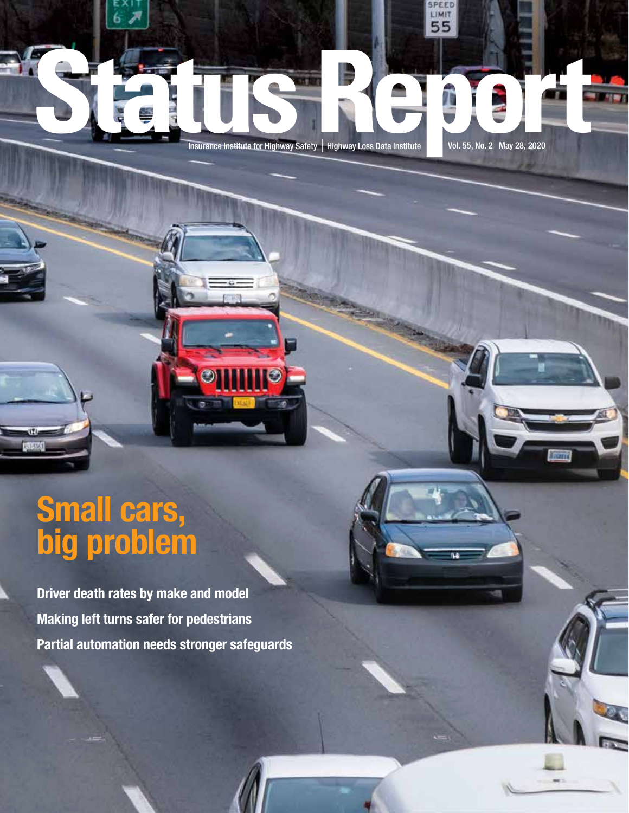**STATUS REPORT INSURANCE INSURANCE INSURANCE INSURANCE INSURANCE IN A STATUS REPORT IN A STATUS AND A STATUS AND A STATUS AND A STATUS AND A STATUS AND A STATUS AND A STATUS AND A STATUS AND A STATUS AND A STATUS AND A STA** 

LIMIT 55

**TER** 

### Small cars, big problem

 $\overline{w}$ **MARK** 

> Driver death rates by make and model Making left turns safer for pedestrians Partial automation needs stronger safeguards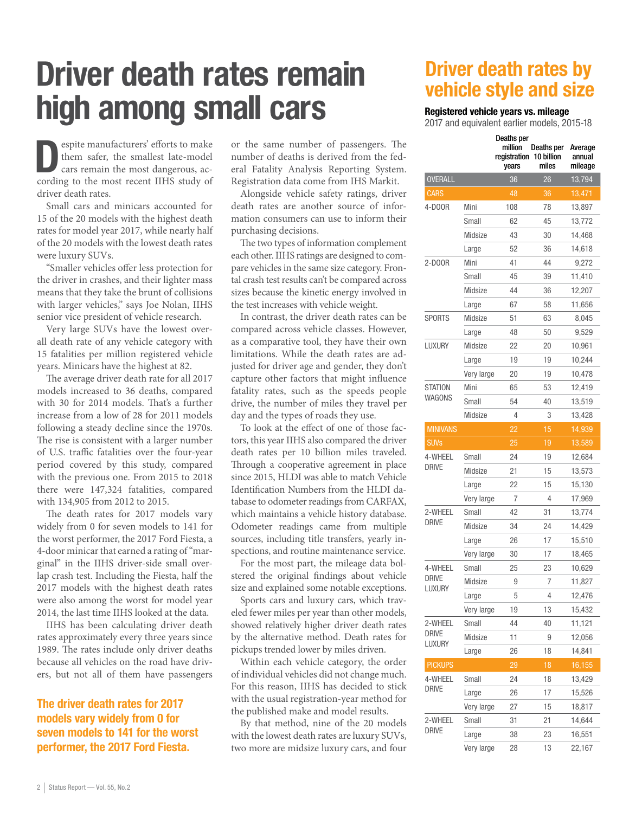## Driver death rates remain high among small cars

**Exercise manufacturers' efforts to make<br>
them safer, the smallest late-model<br>
cars remain the most dangerous, ac-<br>
and in the most month HIIS students** them safer, the smallest late-model cording to the most recent IIHS study of driver death rates.

Small cars and minicars accounted for 15 of the 20 models with the highest death rates for model year 2017, while nearly half of the 20 models with the lowest death rates were luxury SUVs.

"Smaller vehicles offer less protection for the driver in crashes, and their lighter mass means that they take the brunt of collisions with larger vehicles," says Joe Nolan, IIHS senior vice president of vehicle research.

Very large SUVs have the lowest overall death rate of any vehicle category with 15 fatalities per million registered vehicle years. Minicars have the highest at 82.

The average driver death rate for all 2017 models increased to 36 deaths, compared with 30 for 2014 models. That's a further increase from a low of 28 for 2011 models following a steady decline since the 1970s. The rise is consistent with a larger number of U.S. traffic fatalities over the four-year period covered by this study, compared with the previous one. From 2015 to 2018 there were 147,324 fatalities, compared with 134,905 from 2012 to 2015.

The death rates for 2017 models vary widely from 0 for seven models to 141 for the worst performer, the 2017 Ford Fiesta, a 4-door minicar that earned a rating of "marginal" in the IIHS driver-side small overlap crash test. Including the Fiesta, half the 2017 models with the highest death rates were also among the worst for model year 2014, the last time IIHS looked at the data.

IIHS has been calculating driver death rates approximately every three years since 1989. The rates include only driver deaths because all vehicles on the road have drivers, but not all of them have passengers

### The driver death rates for 2017 models vary widely from 0 for seven models to 141 for the worst performer, the 2017 Ford Fiesta.

or the same number of passengers. The number of deaths is derived from the federal Fatality Analysis Reporting System. Registration data come from IHS Markit.

Alongside vehicle safety ratings, driver death rates are another source of information consumers can use to inform their purchasing decisions.

The two types of information complement each other. IIHS ratings are designed to compare vehicles in the same size category. Frontal crash test results can't be compared across sizes because the kinetic energy involved in the test increases with vehicle weight.

In contrast, the driver death rates can be compared across vehicle classes. However, as a comparative tool, they have their own limitations. While the death rates are adjusted for driver age and gender, they don't capture other factors that might influence fatality rates, such as the speeds people drive, the number of miles they travel per day and the types of roads they use.

To look at the effect of one of those factors, this year IIHS also compared the driver death rates per 10 billion miles traveled. Through a cooperative agreement in place since 2015, HLDI was able to match Vehicle Identification Numbers from the HLDI database to odometer readings from CARFAX, which maintains a vehicle history database. Odometer readings came from multiple sources, including title transfers, yearly inspections, and routine maintenance service.

For the most part, the mileage data bolstered the original findings about vehicle size and explained some notable exceptions.

Sports cars and luxury cars, which traveled fewer miles per year than other models, showed relatively higher driver death rates by the alternative method. Death rates for pickups trended lower by miles driven.

Within each vehicle category, the order of individual vehicles did not change much. For this reason, IIHS has decided to stick with the usual registration-year method for the published make and model results.

By that method, nine of the 20 models with the lowest death rates are luxury SUVs, two more are midsize luxury cars, and four

### Driver death rates by vehicle style and size

### Registered vehicle years vs. mileage

2017 and equivalent earlier models, 2015-18

|                        |            | Deaths per<br>million<br>registration<br>years | Deaths per<br>10 billion<br>miles | Average<br>annual<br>mileage |
|------------------------|------------|------------------------------------------------|-----------------------------------|------------------------------|
| <b>OVERALL</b>         |            | 36                                             | 26                                | 13,794                       |
| <b>CARS</b>            |            | 48                                             | 36                                | 13,471                       |
| 4-D00R                 | Mini       | 108                                            | 78                                | 13,897                       |
|                        | Small      | 62                                             | 45                                | 13,772                       |
|                        | Midsize    | 43                                             | 30                                | 14,468                       |
|                        | Large      | 52                                             | 36                                | 14,618                       |
| 2-D00R                 | Mini       | 41                                             | 44                                | 9,272                        |
|                        | Small      | 45                                             | 39                                | 11,410                       |
|                        | Midsize    | 44                                             | 36                                | 12,207                       |
|                        | Large      | 67                                             | 58                                | 11,656                       |
| <b>SPORTS</b>          | Midsize    | 51                                             | 63                                | 8,045                        |
|                        | Large      | 48                                             | 50                                | 9,529                        |
| LUXURY                 | Midsize    | 22                                             | 20                                | 10.961                       |
|                        | Large      | 19                                             | 19                                | 10,244                       |
|                        | Very large | 20                                             | 19                                | 10,478                       |
| <b>STATION</b>         | Mini       | 65                                             | 53                                | 12,419                       |
| WAGONS                 | Small      | 54                                             | 40                                | 13,519                       |
|                        | Midsize    | 4                                              | 3                                 | 13,428                       |
| <b>MINIVANS</b>        |            | 22                                             | 15                                | 14,939                       |
| <b>SUVs</b>            |            | 25                                             | 19                                | 13,589                       |
| 4-WHEEL                | Small      | 24                                             | 19                                | 12,684                       |
| <b>DRIVE</b>           | Midsize    | 21                                             | 15                                | 13,573                       |
|                        | Large      | 22                                             | 15                                | 15,130                       |
|                        | Very large | 7                                              | 4                                 | 17,969                       |
| 2-WHEEL                | Small      | 42                                             | 31                                | 13,774                       |
| <b>DRIVE</b>           | Midsize    | 34                                             | 24                                | 14,429                       |
|                        | Large      | 26                                             | 17                                | 15,510                       |
|                        | Very large | 30                                             | 17                                | 18,465                       |
| 4-WHEEL                | Small      | 25                                             | 23                                | 10,629                       |
| <b>DRIVE</b><br>LUXURY | Midsize    | 9                                              | 7                                 | 11,827                       |
|                        | Large      | 5                                              | 4                                 | 12,476                       |
|                        | Very large | 19                                             | 13                                | 15,432                       |
| 2-WHEEL                | Small      | 44                                             | 40                                | 11,121                       |
| <b>DRIVE</b><br>LUXURY | Midsize    | 11                                             | 9                                 | 12,056                       |
|                        | Large      | 26                                             | 18                                | 14,841                       |
| <b>PICKUPS</b>         |            | 29                                             | 18                                | 16,155                       |
| 4-WHEEL                | Small      | 24                                             | 18                                | 13,429                       |
| drive                  | Large      | 26                                             | 17                                | 15,526                       |
|                        | Very large | 27                                             | 15                                | 18,817                       |
| 2-WHEEL                | Small      | 31                                             | 21                                | 14,644                       |
| DRIVE                  | Large      | 38                                             | 23                                | 16,551                       |
|                        | Very large | 28                                             | 13                                | 22,167                       |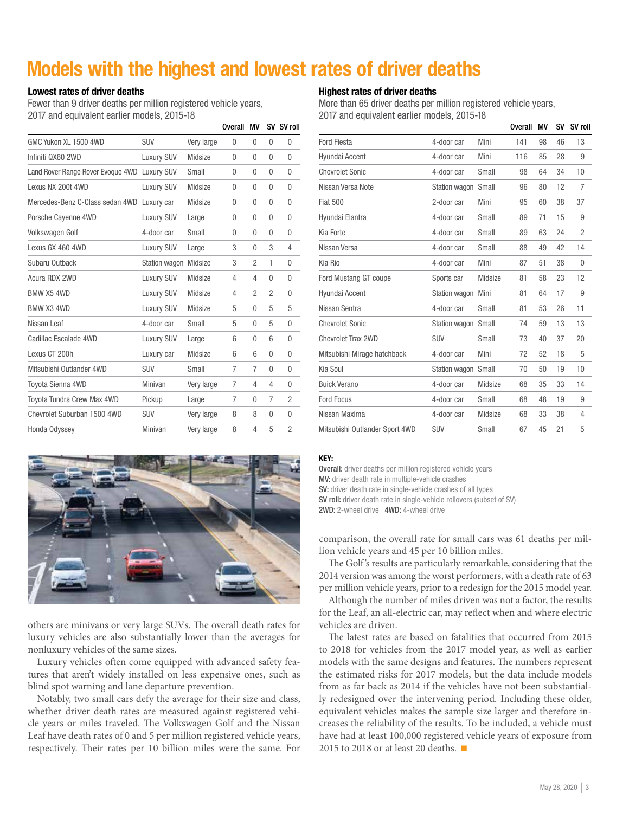### Models with the highest and lowest rates of driver deaths

Overall MV CV CV roll

### Lowest rates of driver deaths

Fewer than 9 driver deaths per million registered vehicle years, 2017 and equivalent earlier models, 2015-18

|                                              |                       |            | υνσιαιι | IVI V          | υv       | ווטו עכ        |
|----------------------------------------------|-----------------------|------------|---------|----------------|----------|----------------|
| GMC Yukon XL 1500 4WD                        | <b>SUV</b>            | Very large | 0       | 0              | $\theta$ | 0              |
| Infiniti QX60 2WD                            | <b>Luxury SUV</b>     | Midsize    | 0       | 0              | $\theta$ | 0              |
| Land Rover Range Rover Evoque 4WD Luxury SUV |                       | Small      | 0       | 0              | $\theta$ | $\theta$       |
| Lexus NX 200t 4WD                            | <b>Luxury SUV</b>     | Midsize    | 0       | 0              | 0        | $\Omega$       |
| Mercedes-Benz C-Class sedan 4WD              | Luxury car            | Midsize    | 0       | 0              | 0        | $\theta$       |
| Porsche Cayenne 4WD                          | <b>Luxury SUV</b>     | Large      | 0       | 0              | 0        | 0              |
| Volkswagen Golf                              | 4-door car            | Small      | 0       | 0              | 0        | $\theta$       |
| Lexus GX 460 4WD                             | <b>Luxury SUV</b>     | Large      | 3       | 0              | 3        | 4              |
| Subaru Outback                               | Station wagon Midsize |            | 3       | $\overline{2}$ | 1        | 0              |
| Acura RDX 2WD                                | <b>Luxury SUV</b>     | Midsize    | 4       | 4              | 0        | 0              |
| BMW X5 4WD                                   | Luxury SUV            | Midsize    | 4       | 2              | 2        | $\theta$       |
| BMW X3 4WD                                   | <b>Luxury SUV</b>     | Midsize    | 5       | 0              | 5        | 5              |
| Nissan Leaf                                  | 4-door car            | Small      | 5       | 0              | 5        | $\theta$       |
| Cadillac Escalade 4WD                        | Luxury SUV            | Large      | 6       | 0              | 6        | $\theta$       |
| Lexus CT 200h                                | Luxury car            | Midsize    | 6       | 6              | $\theta$ | $\theta$       |
| Mitsubishi Outlander 4WD                     | <b>SUV</b>            | Small      | 7       | 7              | 0        | $\theta$       |
| Toyota Sienna 4WD                            | Minivan               | Very large | 7       | 4              | 4        | $\theta$       |
| Toyota Tundra Crew Max 4WD                   | Pickup                | Large      | 7       | 0              | 7        | $\overline{2}$ |
| Chevrolet Suburban 1500 4WD                  | <b>SUV</b>            | Very large | 8       | 8              | $\theta$ | $\theta$       |
| Honda Odyssey                                | Minivan               | Very large | 8       | 4              | 5        | $\overline{2}$ |



others are minivans or very large SUVs. The overall death rates for luxury vehicles are also substantially lower than the averages for nonluxury vehicles of the same sizes.

Luxury vehicles often come equipped with advanced safety features that aren't widely installed on less expensive ones, such as blind spot warning and lane departure prevention.

Notably, two small cars defy the average for their size and class, whether driver death rates are measured against registered vehicle years or miles traveled. The Volkswagen Golf and the Nissan Leaf have death rates of 0 and 5 per million registered vehicle years, respectively. Their rates per 10 billion miles were the same. For

### Highest rates of driver deaths

More than 65 driver deaths per million registered vehicle years, 2017 and equivalent earlier models, 2015-18

|                                |                     |         | <b>Overall</b> | ΜV | SV | SV roll        |
|--------------------------------|---------------------|---------|----------------|----|----|----------------|
| Ford Fiesta                    | 4-door car          | Mini    | 141            | 98 | 46 | 13             |
| Hyundai Accent                 | 4-door car          | Mini    | 116            | 85 | 28 | 9              |
| <b>Chevrolet Sonic</b>         | 4-door car          | Small   | 98             | 64 | 34 | 10             |
| Nissan Versa Note              | Station wagon       | Small   | 96             | 80 | 12 | 7              |
| <b>Fiat 500</b>                | 2-door car          | Mini    | 95             | 60 | 38 | 37             |
| Hyundai Elantra                | 4-door car          | Small   | 89             | 71 | 15 | 9              |
| Kia Forte                      | 4-door car          | Small   | 89             | 63 | 24 | $\overline{2}$ |
| Nissan Versa                   | 4-door car          | Small   | 88             | 49 | 42 | 14             |
| Kia Rio                        | 4-door car          | Mini    | 87             | 51 | 38 | 0              |
| Ford Mustang GT coupe          | Sports car          | Midsize | 81             | 58 | 23 | 12             |
| Hyundai Accent                 | Station wagon Mini  |         | 81             | 64 | 17 | 9              |
| Nissan Sentra                  | 4-door car          | Small   | 81             | 53 | 26 | 11             |
| <b>Chevrolet Sonic</b>         | Station wagon Small |         | 74             | 59 | 13 | 13             |
| Chevrolet Trax 2WD             | <b>SUV</b>          | Small   | 73             | 40 | 37 | 20             |
| Mitsubishi Mirage hatchback    | 4-door car          | Mini    | 72             | 52 | 18 | 5              |
| Kia Soul                       | Station wagon Small |         | 70             | 50 | 19 | 10             |
| <b>Buick Verano</b>            | 4-door car          | Midsize | 68             | 35 | 33 | 14             |
| Ford Focus                     | 4-door car          | Small   | 68             | 48 | 19 | 9              |
| Nissan Maxima                  | 4-door car          | Midsize | 68             | 33 | 38 | 4              |
| Mitsubishi Outlander Sport 4WD | <b>SUV</b>          | Small   | 67             | 45 | 21 | 5              |

#### KEY:

Overall: driver deaths per million registered vehicle years MV: driver death rate in multiple-vehicle crashes SV: driver death rate in single-vehicle crashes of all types SV roll: driver death rate in single-vehicle rollovers (subset of SV)

2WD: 2-wheel drive 4WD: 4-wheel drive

comparison, the overall rate for small cars was 61 deaths per million vehicle years and 45 per 10 billion miles.

The Golf's results are particularly remarkable, considering that the 2014 version was among the worst performers, with a death rate of 63 per million vehicle years, prior to a redesign for the 2015 model year.

Although the number of miles driven was not a factor, the results for the Leaf, an all-electric car, may reflect when and where electric vehicles are driven.

The latest rates are based on fatalities that occurred from 2015 to 2018 for vehicles from the 2017 model year, as well as earlier models with the same designs and features. The numbers represent the estimated risks for 2017 models, but the data include models from as far back as 2014 if the vehicles have not been substantially redesigned over the intervening period. Including these older, equivalent vehicles makes the sample size larger and therefore increases the reliability of the results. To be included, a vehicle must have had at least 100,000 registered vehicle years of exposure from 2015 to 2018 or at least 20 deaths.  $\blacksquare$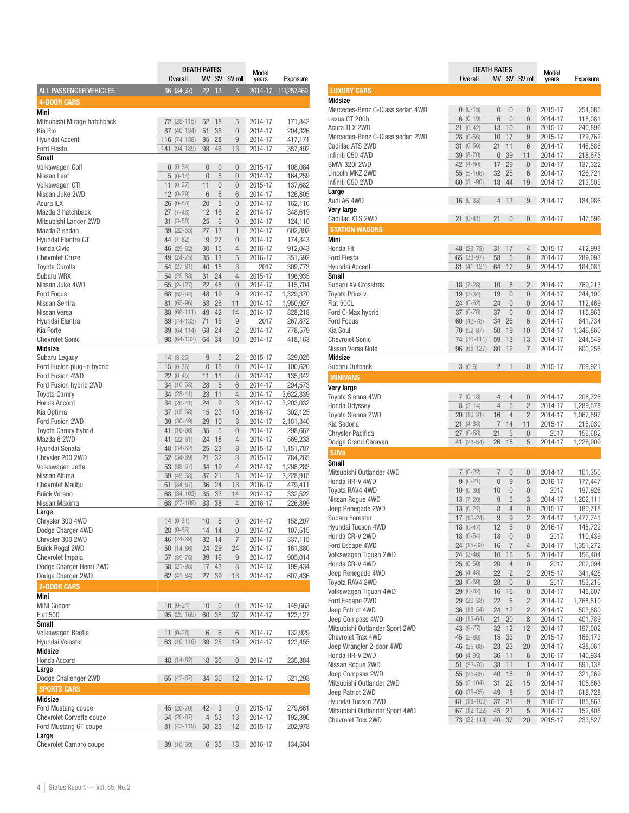|                                        | <b>DEATH RATES</b> |                            |                | Model           |                                  |                    |                      |
|----------------------------------------|--------------------|----------------------------|----------------|-----------------|----------------------------------|--------------------|----------------------|
|                                        |                    | Overall                    |                |                 | MV SV SV roll                    | years              | Exposure             |
| ALL PASSENGER VEHICLES                 |                    | 36 (34-37)                 | 22             | 13              | $5\overline{)}$                  | 2014-17            | 111,257,469          |
| <b>4-DOOR CARS</b>                     |                    |                            |                |                 |                                  |                    |                      |
| Mini                                   |                    |                            |                |                 |                                  |                    |                      |
| Mitsubishi Mirage hatchback            |                    | 72 (28-115)                | 52             | 18              | 5                                | 2014-17            | 171,842              |
| Kia Rio                                |                    | 87 (40-134)                | 51             | 38              | $\overline{0}$                   | 2014-17            | 204,326              |
| Hyundai Accent                         |                    | 116 (74-158)               | 85             | 28              | 9                                | 2014-17            | 417,171              |
| <b>Ford Fiesta</b><br>Small            |                    | 141 (94-189)               | 98             | 46              | 13                               | 2014-17            | 357,492              |
| Volkswagen Golf                        |                    | $0(0-34)$                  | $\overline{0}$ | $\overline{0}$  | $\overline{0}$                   | 2015-17            | 108,084              |
| Nissan Leaf                            |                    | $5(0-14)$                  | $\overline{0}$ | 5               | $\overline{0}$                   | 2014-17            | 164,259              |
| Volkswagen GTI                         |                    | $11(0-27)$                 | 11             | 0               | $\overline{0}$                   | 2015-17            | 137,682              |
| Nissan Juke 2WD                        |                    | $12(0-29)$                 | 6              | 6               | 6                                | 2014-17            | 126,805              |
| Acura ILX                              |                    | $26(0-56)$                 | 20             | 5               | 0                                | 2014-17            | 162,116              |
| Mazda 3 hatchback                      |                    | $27(7-46)$                 | 12             | 16              | $\overline{c}$                   | 2014-17            | 348,619              |
| Mitsubishi Lancer 2WD                  |                    | $31(3-58)$                 | 25             | 6               | $\overline{0}$                   | 2014-17            | 124,110              |
| Mazda 3 sedan                          |                    | $39(22-55)$                | 27             | 13              | $\mathbf{1}$                     | 2014-17            | 602,393              |
| Hyundai Elantra GT                     |                    | 44 (7-82)                  | 19             | 27              | $\overline{0}$                   | 2014-17            | 174,343              |
| Honda Civic                            |                    | 46 (29-62)                 | 30             | 15              | $\overline{4}$                   | 2016-17            | 912,043              |
| <b>Chevrolet Cruze</b>                 |                    | 49 (24-75)                 | 35             | 13              | 5                                | 2016-17            | 351,592              |
| <b>Toyota Corolla</b>                  |                    | 54 (27-81)                 | 40             | 15              | 3                                | 2017               | 309,773              |
| Subaru WRX<br>Nissan Juke 4WD          |                    | $54(25-83)$<br>$65(2-127)$ | 31<br>22       | 24<br>48        | 4<br>$\overline{0}$              | 2015-17<br>2014-17 | 196,935<br>115,704   |
| <b>Ford Focus</b>                      |                    | 68 (52-84)                 | 48             | 19              | 9                                | 2014-17            | 1,329,370            |
| Nissan Sentra                          |                    | 81 (65-96)                 | 53             | 26              | 11                               | 2014-17            | 1,950,927            |
| Nissan Versa                           |                    | 88 (66-111)                | 49             | 42              | 14                               | 2014-17            | 828,218              |
| Hyundai Elantra                        |                    | 89 (44-133)                | 71             | 15              | 9                                | 2017               | 267,872              |
| Kia Forte                              |                    | 89 (64-114)                | 63             | 24              | $\overline{c}$                   | 2014-17            | 778,579              |
| <b>Chevrolet Sonic</b>                 |                    | 98 (64-132)                | 64             | 34              | 10                               | 2014-17            | 418,163              |
| Midsize                                |                    |                            |                |                 |                                  |                    |                      |
| Subaru Legacy                          |                    | $14(3-25)$                 | 9              | 5               | $\overline{c}$                   | 2015-17            | 329,025              |
| Ford Fusion plug-in hybrid             |                    | $15(0-36)$                 | $\overline{0}$ | 15              | $\overline{0}$                   | 2014-17            | 100,620              |
| Ford Fusion 4WD                        |                    | $22(0-45)$                 | 11             | 11              | $\overline{0}$                   | 2014-17            | 135,342              |
| Ford Fusion hybrid 2WD                 |                    | 34 (10-58)                 | 28             | 5               | 6                                | 2014-17            | 294,573              |
| <b>Toyota Camry</b>                    |                    | 34 (28-41)                 | 23             | 11              | $\overline{4}$                   | 2014-17            | 3,622,339            |
| Honda Accord                           |                    | 34 (26-41)                 | 24<br>15       | 9<br>23         | 3                                | 2014-17            | 3,203,032            |
| Kia Optima<br>Ford Fusion 2WD          |                    | 37 (15-58)<br>39 (30-49)   | 29             | 10              | 10<br>3                          | 2016-17<br>2014-17 | 302,125<br>2,181,340 |
| Toyota Camry hybrid                    |                    | 41 (16-66)                 | 35             | 5               | $\overline{0}$                   | 2014-17            | 298,667              |
| Mazda 6 2WD                            |                    | 41 (22-61)                 | 24             | 18              | $\overline{4}$                   | 2014-17            | 569,238              |
| Hyundai Sonata                         |                    | 48 (34-62)                 | 25             | 23              | 8                                | 2015-17            | 1,151,787            |
| Chrysler 200 2WD                       |                    | 52 (34-69)                 | 21             | 32              | 3                                | 2015-17            | 784,265              |
| Volkswagen Jetta                       |                    | 53 (38-67)                 | 34             | 19              | 4                                | 2014-17            | 1,298,283            |
| Nissan Altima                          |                    | 59 (49-68)                 | 37             | 21              | 5                                | 2014-17            | 3,228,915            |
| <b>Chevrolet Malibu</b>                |                    | $61(34-87)$                | 36             | 24              | 13                               | 2016-17            | 479,411              |
| <b>Buick Verano</b>                    |                    | 68 (34-102)                | 35             | 33              | 14                               | 2014-17            | 332,522              |
| Nissan Maxima                          |                    | 68 (27-109)                | 33             | 38              | 4                                | 2016-17            | 226,899              |
| Large                                  |                    |                            |                |                 |                                  |                    |                      |
| Chrysler 300 4WD                       |                    | $14(0-31)$                 | 10             | 5               | $\overline{0}$                   | 2014-17            | 158,207              |
| Dodge Charger 4WD<br>Chrysler 300 2WD  |                    | 28 (0-56)<br>46 (24-69)    | 14             | 14<br>14        | $\overline{0}$<br>$\overline{7}$ | 2014-17            | 107,515              |
| <b>Buick Regal 2WD</b>                 |                    | $50(14-86)$                | 32<br>24       | 29              | 24                               | 2014-17<br>2014-17 | 337,115<br>161,880   |
| Chevrolet Impala                       |                    | 57 (39-75)                 | 39             | 16              | 9                                | 2014-17            | 905,014              |
| Dodge Charger Hemi 2WD                 |                    | 58 (21-95)                 | 17             | 43              | 8                                | 2014-17            | 199,434              |
| Dodge Charger 2WD                      |                    | 62 (41-84)                 | 27             | 39              | 13                               | 2014-17            | 607,436              |
| 2-DOOR CARS                            |                    |                            |                |                 |                                  |                    |                      |
| Mini                                   |                    |                            |                |                 |                                  |                    |                      |
| <b>MINI Cooper</b>                     |                    | $10(0-24)$                 | 10             | $\bf{0}$        | 0                                | 2014-17            | 149,663              |
| <b>Fiat 500</b>                        |                    | 95 (25-165)                | 60             | 38              | 37                               | 2014-17            | 123,127              |
| Small                                  |                    |                            |                |                 |                                  |                    |                      |
| Volkswagen Beetle                      |                    | $11(0-28)$                 | 6              | $6\phantom{.}6$ | 6                                | 2014-17            | 132,929              |
| Hyundai Veloster                       |                    | 63 (10-116)                | 39             | 25              | 19                               | 2014-17            | 123,455              |
| Midsize                                |                    |                            |                |                 |                                  |                    |                      |
| Honda Accord                           |                    | 48 (14-82)                 | 18             | 30              | 0                                | 2014-17            | 235,384              |
| Large                                  |                    |                            |                |                 |                                  |                    |                      |
| Dodge Challenger 2WD                   |                    | 65 (42-87)                 | 34             | 30              | 12                               | 2014-17            | 521,293              |
| <b>SPORTS CARS</b>                     |                    |                            |                |                 |                                  |                    |                      |
| Midsize                                |                    |                            |                |                 |                                  |                    |                      |
| Ford Mustang coupe                     |                    | 45 (20-70)                 | 42             | 3               | 0                                | 2015-17            | 279,661              |
| Chevrolet Corvette coupe               |                    | 54 (20-87)                 | 4              | 53              | 13                               | 2014-17            | 192,396              |
| Ford Mustang GT coupe                  |                    | 81 (43-119)                | 58             | 23              | 12                               | 2015-17            | 202,978              |
| Large<br><b>Chevrolet Camaro coupe</b> |                    | 39 (10-69)                 |                | 6 35            | 18                               | 2016-17            | 134,504              |

|                                      | <b>DEATH RATES</b>       |                |                 |                     |                    |                      |
|--------------------------------------|--------------------------|----------------|-----------------|---------------------|--------------------|----------------------|
|                                      | <b>Overall</b>           |                |                 | MV SV SV roll       | Model<br>years     | Exposure             |
| <b>LUXURY CARS</b>                   |                          |                |                 |                     |                    |                      |
| Midsize                              |                          |                |                 |                     |                    |                      |
| Mercedes-Benz C-Class sedan 4WD      | $0(0-15)$                | $\overline{0}$ | $\overline{0}$  | $\overline{0}$      | 2015-17            | 254,085              |
| Lexus CT 200h                        | $6(0-19)$                | 6              | $\overline{0}$  | $\overline{0}$      | 2014-17            | 118,081              |
| Acura TLX 2WD                        | $21(0-42)$               | 13             | 10              | $\overline{0}$      | 2015-17            | 240,896              |
| Mercedes-Benz C-Class sedan 2WD      | $28(0-56)$               | 10             | 17              | 9                   | 2015-17            | 179,762              |
| Cadillac ATS 2WD                     | $31(6-56)$               | 21             | 11              | 6                   | 2014-17            | 146,586              |
| Infiniti Q50 4WD                     | 39 (8-70)                | $\overline{0}$ | 39              | 11                  | 2014-17            | 218,675              |
| <b>BMW 320i 2WD</b>                  | 42 (4-80)                | 17             | 29              | $\overline{0}$      | 2014-17            | 137,322              |
| Lincoln MKZ 2WD                      | $55(5-106)$              | 32             | 25              | 6                   | 2014-17            | 126,721              |
| Infiniti Q50 2WD                     | 60 (31-90)               | 18             | 44              | 19                  | 2014-17            | 213,505              |
| Large<br>Audi A6 4WD                 | $16(0-33)$               | 4              | 13              | 9                   | 2014-17            | 184,986              |
| Very large                           |                          |                |                 |                     |                    |                      |
| Cadillac XTS 2WD                     | $21(0-41)$               | 21             | $\bf{0}$        | $\overline{0}$      | 2014-17            | 147,596              |
| <b>STATION WAGONS</b>                |                          |                |                 |                     |                    |                      |
| Mini                                 |                          |                |                 |                     |                    |                      |
| Honda Fit                            | 48 (23-73)               | 31             | 17              | 4                   | 2015-17            | 412,993              |
| <b>Ford Fiesta</b>                   | 65 (33-97)               | 58             | 5               | $\overline{0}$      | 2014-17            | 289,093              |
| Hyundai Accent                       | $81(41-121)$             | 64             | 17              | 9                   | 2014-17            | 184,081              |
| <b>Small</b>                         |                          |                |                 |                     |                    |                      |
| Subaru XV Crosstrek                  | $18(7-28)$               | 10             | 8               | $\overline{2}$      | 2014-17            | 769,213              |
| <b>Toyota Prius v</b>                | $19(3-34)$               | 19             | $\overline{0}$  | $\overline{0}$      | 2014-17            | 244,190              |
| Fiat 500L                            | $24(0-62)$               | 24             | $\overline{0}$  | 0                   | 2014-17            | 112,469              |
| Ford C-Max hybrid                    | $37(0-78)$               | 37             | $\overline{0}$  | $\overline{0}$      | 2014-17            | 115,963              |
| <b>Ford Focus</b>                    | 60 (42-78)               | 34             | 26              | 6                   | 2014-17            | 841,734              |
| Kia Soul                             | 70 (52-87)               | 50             | 19              | 10                  | 2014-17            | 1,346,860            |
| <b>Chevrolet Sonic</b>               | 74 (36-111)              | 59             | 13              | 13                  | 2014-17            | 244,549              |
| Nissan Versa Note                    | 96 (65-127)              | 80             | 12              | $\overline{7}$      | 2014-17            | 600,256              |
| Midsize                              |                          |                |                 |                     |                    |                      |
| Subaru Outback                       | $3(0-6)$                 | $\overline{c}$ | 1               | $\overline{0}$      | 2015-17            | 769,921              |
| <b>MINIVANS</b>                      |                          |                |                 |                     |                    |                      |
| Very large                           |                          |                |                 |                     |                    |                      |
| Toyota Sienna 4WD                    | $7(0-18)$                | 4              | $\overline{4}$  | $\overline{0}$      | 2014-17            | 206,725              |
| Honda Odyssey                        | $8(2-14)$                | $\overline{4}$ | 5               | $\overline{2}$      | 2014-17            | 1,289,578            |
| Toyota Sienna 2WD                    | $20(10-31)$              | 16             | $\overline{4}$  | $\overline{2}$      | 2014-17            | 1,067,897            |
| Kia Sedona                           | $21(4-38)$               | 7              | 14              | 11                  | 2015-17            | 215,030              |
| <b>Chrysler Pacifica</b>             | $27(0-58)$               | 21             | 5               | 0                   | 2017               | 156,682              |
| Dodge Grand Caravan                  | 41 (28-54)               | 26             | 15              | 5                   | 2014-17            | 1,226,909            |
| <b>SUVs</b>                          |                          |                |                 |                     |                    |                      |
| Small                                |                          |                |                 |                     |                    |                      |
| Mitsubishi Outlander 4WD             | $7(0-22)$                | 7              | $\overline{0}$  | 0                   | 2014-17            | 101,350              |
| Honda HR-V 4WD                       | $9(0-21)$                | $\overline{0}$ | 9               | 5                   | 2016-17            | 177,447              |
| Toyota RAV4 4WD                      | $10(0-30)$               | 10             | $\overline{0}$  | $\overline{0}$      | 2017               | 197,926              |
| Nissan Rogue 4WD                     | $13(7-20)$               | 9              | 5               | 3                   | 2014-17            | 1,202,111            |
| Jeep Renegade 2WD                    | $13(0-27)$               | 8              | $\overline{4}$  | $\overline{0}$      | 2015-17            | 180,718              |
| Subaru Forester                      | 17 (10-24)               | 9              | 9               | $\overline{2}$      | 2014-17            | 1,477,741            |
| Hyundai Tucson 4WD                   | $18(0-47)$               | 12             | 5               | $\mathbf 0$         | 2016-17            | 148,722              |
| Honda CR-V 2WD                       | $18(0-54)$               | 18             | $\bf{0}$        | 0                   | 2017               | 110,439              |
| Ford Escape 4WD                      | 24 (15-33)               | 16             | 7               | $\overline{4}$      | 2014-17            | 1,351,272            |
| Volkswagen Tiguan 2WD                | $24(3-46)$               | 10             | 15              | 5                   | 2014-17            | 156,404              |
| Honda CR-V 4WD                       | $25(0-50)$<br>$26(4-48)$ | 20             | 4               | 0                   | 2017               | 202,094              |
| Jeep Renegade 4WD<br>Toyota RAV4 2WD |                          | 22             | $\overline{2}$  | $\overline{c}$      | 2015-17            | 341,425              |
| Volkswagen Tiguan 4WD                | $28(0-59)$<br>29 (0-62)  | 28<br>16       | $\bf{0}$<br>16  | 0                   | 2017               | 153,216              |
| Ford Escape 2WD                      | 29 (20-38)               | 22             | $6\phantom{1}6$ | 0<br>$\overline{2}$ | 2014-17<br>2014-17 | 145,607<br>1,768,510 |
| Jeep Patriot 4WD                     | 36 (18-54)               | 24             | 12              | $\overline{c}$      | 2014-17            | 503,880              |
| Jeep Compass 4WD                     | 40 (15-64)               | 21             | 20              | 8                   | 2014-17            | 401,789              |
| Mitsubishi Outlander Sport 2WD       | 43 (9-77)                | 32             | 12              | 12                  | 2014-17            | 197,002              |
| Chevrolet Trax 4WD                   | 45 (2-88)                | 15             | 33              | 0                   | 2015-17            | 166,173              |
| Jeep Wrangler 2-door 4WD             | 46 (25-68)               | 23             | 23              | 20                  | 2014-17            | 438,061              |
| Honda HR-V 2WD                       | $50(4-95)$               | 36             | 11              | 6                   | 2016-17            | 140,934              |
| Nissan Rogue 2WD                     | $51(32-70)$              | 38             | 11              | 1                   | 2014-17            | 891,138              |
| Jeep Compass 2WD                     | $55(25-85)$              | 40             | 15              | 0                   | 2014-17            | 321,269              |
| Mitsubishi Outlander 2WD             | 55 (5-104)               | 31             | 22              | 15                  | 2014-17            | 105,863              |
| Jeep Patriot 2WD                     | $60(35-85)$              | 49             | 8               | 5                   | 2014-17            | 618,728              |
| Hyundai Tucson 2WD                   | $61(18-103)$             | 37             | 21              | 9                   | 2016-17            | 185,863              |
| Mitsubishi Outlander Sport 4WD       | 67 (12-122)              | 45             | 21              | 5                   | 2014-17            | 152,405              |
| Chevrolet Trax 2WD                   | 73 (32-114)              | 40             | 37              | 20                  | 2015-17            | 233,527              |
|                                      |                          |                |                 |                     |                    |                      |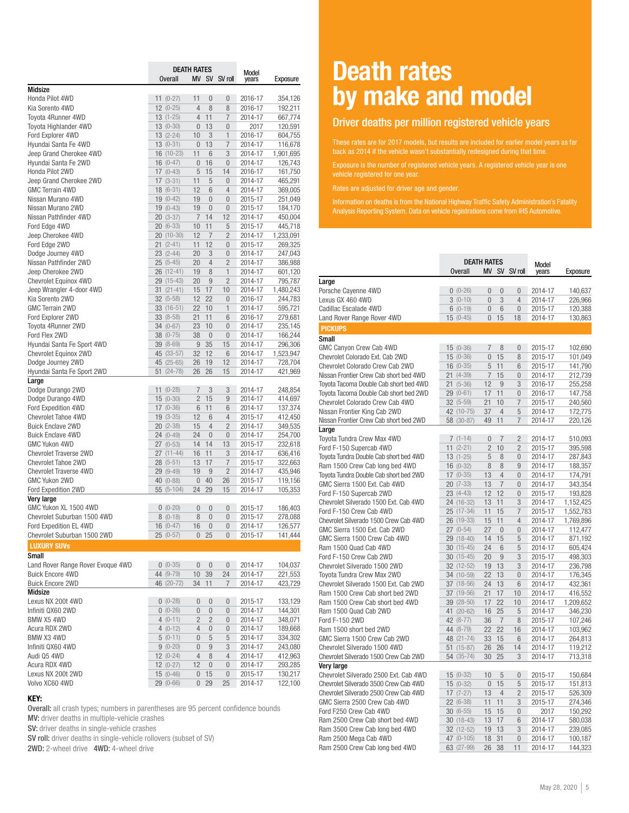|                                            |                          | <b>DEATH RATES</b>   |                      |                                | Model              |                      |
|--------------------------------------------|--------------------------|----------------------|----------------------|--------------------------------|--------------------|----------------------|
|                                            | <b>Overall</b>           |                      |                      | MV SV SV roll                  | years              | Exposure             |
| <b>Midsize</b>                             |                          |                      |                      |                                |                    |                      |
| Honda Pilot 4WD                            | $11(0-27)$               | 11                   | $\overline{0}$       | $\overline{0}$                 | 2016-17            | 354,126              |
| Kia Sorento 4WD                            | $12(0-25)$               | $\overline{4}$       | 8                    | 8                              | 2016-17            | 192,211              |
| <b>Toyota 4Runner 4WD</b>                  | $13(1-25)$               | $\overline{4}$       | 11                   | $\overline{7}$                 | 2014-17            | 667,774              |
| <b>Toyota Highlander 4WD</b>               | $13(0-30)$<br>$13(2-24)$ | $\overline{0}$       | 13<br>3              | $\overline{0}$<br>$\mathbf{1}$ | 2017               | 120,591              |
| Ford Explorer 4WD<br>Hyundai Santa Fe 4WD  | $13(0-31)$               | 10<br>$\overline{0}$ | 13                   | 7                              | 2016-17<br>2014-17 | 604,755              |
| Jeep Grand Cherokee 4WD                    | $16(10-23)$              | 11                   | 6                    | 3                              | 2014-17            | 116,678<br>1,901,695 |
| Hyundai Santa Fe 2WD                       | $16(0-47)$               | $\overline{0}$       | 16                   | $\overline{0}$                 | 2014-17            | 126,743              |
| Honda Pilot 2WD                            | $17(0-43)$               | 5                    | 15                   | 14                             | 2016-17            | 161,750              |
| Jeep Grand Cherokee 2WD                    | $17(3-31)$               | 11                   | 5                    | $\Omega$                       | 2014-17            | 465,291              |
| <b>GMC Terrain 4WD</b>                     | $18(6-31)$               | 12                   | 6                    | 4                              | 2014-17            | 369,005              |
| Nissan Murano 4WD                          | $19(0-42)$               | 19                   | $\overline{0}$       | $\overline{0}$                 | 2015-17            | 251,049              |
| Nissan Murano 2WD                          | $19(0-43)$               | 19                   | $\overline{0}$       | $\overline{0}$                 | 2015-17            | 184,170              |
| Nissan Pathfinder 4WD                      | $20(3-37)$               | $\overline{7}$       | 14                   | 12                             | 2014-17            | 450,004              |
| Ford Edge 4WD                              | $20(6-33)$               | 10                   | 11                   | 5                              | 2015-17            | 445,718              |
| Jeep Cherokee 4WD                          | $20(10-30)$              | 12                   | $\overline{7}$       | $\overline{2}$                 | 2014-17            | 1,233,091            |
| Ford Edge 2WD                              | $21(2-41)$               | 11                   | 12                   | 0                              | 2015-17            | 269,325              |
| Dodge Journey 4WD                          | $23(2-44)$               | 20                   | 3                    | 0                              | 2014-17            | 247,043              |
| Nissan Pathfinder 2WD                      | $25(5-45)$               | 20                   | $\overline{4}$       | $\overline{2}$                 | 2014-17            | 386,988              |
| Jeep Cherokee 2WD                          | 26 (12-41)               | 19                   | 8                    | $\mathbf{1}$                   | 2014-17            | 601,120              |
| <b>Chevrolet Equinox 4WD</b>               | 29 (15-43)               | 20                   | 9                    | $\overline{2}$                 | 2014-17            | 795,787              |
| Jeep Wrangler 4-door 4WD                   | $31(21-41)$              | 15                   | 17                   | 10                             | 2014-17            | 1,480,243            |
| Kia Sorento 2WD                            | $32(5-58)$               | 12                   | 22                   | $\overline{0}$                 | 2016-17            | 244,783              |
| <b>GMC Terrain 2WD</b>                     | $33(16-51)$              | 22                   | 10                   | 1                              | 2014-17            | 595,721              |
| Ford Explorer 2WD                          | 33 (8-58)                | 21                   | 11                   | 6                              | 2016-17            | 279,681              |
| <b>Toyota 4Runner 2WD</b><br>Ford Flex 2WD | $34(0-67)$<br>$38(0-75)$ | 23<br>38             | 10<br>$\overline{0}$ | 0<br>$\overline{0}$            | 2014-17<br>2014-17 | 235,145              |
| Hyundai Santa Fe Sport 4WD                 | $39(8-69)$               | 9                    | 35                   | 15                             | 2014-17            | 166,244<br>296,306   |
| Chevrolet Equinox 2WD                      | 45 (33-57)               | 32                   | 12                   | 6                              | 2014-17            | 1,523,947            |
| Dodge Journey 2WD                          | 45 (25-65)               | 26                   | 19                   | 12                             | 2014-17            | 728,704              |
| Hyundai Santa Fe Sport 2WD                 | $51(24-78)$              | 26                   | 26                   | 15                             | 2014-17            | 421,969              |
| Large                                      |                          |                      |                      |                                |                    |                      |
| Dodge Durango 2WD                          | $11(0-28)$               | 7                    | 3                    | 3                              | 2014-17            | 248,854              |
| Dodge Durango 4WD                          | $15(0-30)$               | $\overline{2}$       | 15                   | 9                              | 2014-17            | 414,697              |
| Ford Expedition 4WD                        | $17(0-36)$               | 6                    | 11                   | 6                              | 2014-17            | 137,374              |
| <b>Chevrolet Tahoe 4WD</b>                 | $19(3-35)$               | 12                   | 6                    | 4                              | 2015-17            | 412,450              |
| <b>Buick Enclave 2WD</b>                   | $20(2-38)$               | 15                   | $\overline{4}$       | $\overline{c}$                 | 2014-17            | 349,535              |
| <b>Buick Enclave 4WD</b>                   | $24(0-49)$               | 24                   | $\overline{0}$       | $\overline{0}$                 | 2014-17            | 254,700              |
| <b>GMC Yukon 4WD</b>                       | $27(0-53)$               | 14                   | 14                   | 13                             | 2015-17            | 232,618              |
| <b>Chevrolet Traverse 2WD</b>              | 27 (11-44)               | 16                   | 11                   | 3                              | 2014-17            | 636,416              |
| Chevrolet Tahoe 2WD                        | $28(5-51)$               | 13                   | 17                   | $\overline{7}$                 | 2015-17            | 322,663              |
| <b>Chevrolet Traverse 4WD</b>              | 29 (9-49)                | 19                   | 9                    | $\overline{2}$                 | 2014-17            | 435,946              |
| <b>GMC Yukon 2WD</b>                       | 40 (0-88)                | $\overline{0}$       | 40                   | 26                             | 2015-17            | 119,156              |
| Ford Expedition 2WD                        | $55(5-104)$              | 24                   | 29                   | 15                             | 2014-17            | 105,353              |
| Very large<br>GMC Yukon XL 1500 4WD        | $0(0-20)$                | $\overline{0}$       | $\overline{0}$       | $\overline{0}$                 |                    |                      |
| Chevrolet Suburban 1500 4WD                | $8(0-18)$                | 8                    | $\overline{0}$       | $\overline{0}$                 | 2015-17<br>2015-17 | 186,403<br>278,088   |
| Ford Expedition EL 4WD                     | $16(0-47)$               | 16                   | $\bf{0}$             | 0                              | 2014-17            | 126,577              |
| Chevrolet Suburban 1500 2WD                | $25(0-57)$               | 0                    | 25                   | $\overline{0}$                 | 2015-17            | 141,444              |
| <b>LUXURY SUVS</b>                         |                          |                      |                      |                                |                    |                      |
| Small                                      |                          |                      |                      |                                |                    |                      |
| Land Rover Range Rover Evoque 4WD          | $0(0-35)$                | $\mathbf{0}$         | $\mathbf{0}$         | 0                              | 2014-17            | 104,037              |
| <b>Buick Encore 4WD</b>                    | 44 (9-79)                | 10                   | 39                   | 24                             | 2014-17            | 221,553              |
| <b>Buick Encore 2WD</b>                    | 46 (20-72)               | 34                   | 11                   | 7                              | 2014-17            | 423,729              |
| Midsize                                    |                          |                      |                      |                                |                    |                      |
| Lexus NX 200t 4WD                          | $0(0-28)$                | 0                    | $\bf{0}$             | 0                              | 2015-17            | 133,129              |
| Infiniti QX60 2WD                          | $0(0-26)$                | $\mathbf 0$          | $\mathbf{0}$         | $\mathbf 0$                    | 2014-17            | 144,301              |
| BMW X5 4WD                                 | $4(0-11)$                | $\overline{2}$       | $\overline{2}$       | 0                              | 2014-17            | 348,071              |
| Acura RDX 2WD                              | $4(0-12)$                | $\overline{4}$       | $\boldsymbol{0}$     | 0                              | 2014-17            | 189,668              |
| BMW X3 4WD                                 | $5(0-11)$                | $\overline{0}$       | 5                    | 5                              | 2014-17            | 334,302              |
| Infiniti QX60 4WD                          | $9(0-20)$                | 0                    | $\overline{9}$       | 3                              | 2014-17            | 243,080              |
| Audi Q5 4WD                                | $12(0-24)$               | 4                    | 8                    | 4                              | 2014-17            | 412,963              |
| Acura RDX 4WD                              | $12(0-27)$               | 12                   | $\mathbf{0}$         | 0                              | 2014-17            | 293,285              |
| Lexus NX 200t 2WD                          | $15(0-46)$               | 0                    | 15                   | 0                              | 2015-17            | 130,217              |
| Volvo XC60 4WD                             | 29 (0-66)                | 0                    | 29                   | 25                             | 2014-17            | 122,100              |

### KEY:

Overall: all crash types; numbers in parentheses are 95 percent confidence bounds MV: driver deaths in multiple-vehicle crashes

SV: driver deaths in single-vehicle crashes

SV roll: driver deaths in single-vehicle rollovers (subset of SV)

2WD: 2-wheel drive 4WD: 4-wheel drive

### Death rates by make and model

### Driver deaths per million registered vehicle years

These rates are for 2017 models, but results are included for earlier model years as far back as 2014 if the vehicle wasn't substantially redesigned during that time.

Exposure is the number of registered vehicle years. A registered vehicle year is one vehicle registered for one year.

Information on deaths is from the National Highway Traffic Safety Administration's Fatality Analysis Reporting System. Data on vehicle registrations come from IHS Automotive.

|                                        | <b>DEATH RATES</b><br><b>Overall</b> |                |                | MV SV SV roll  | Model<br>vears | Exposure  |  |
|----------------------------------------|--------------------------------------|----------------|----------------|----------------|----------------|-----------|--|
| Large                                  |                                      |                |                |                |                |           |  |
| Porsche Cayenne 4WD                    | $0(0-26)$                            | $\overline{0}$ | $\overline{0}$ | $\overline{0}$ | 2014-17        | 140,637   |  |
| Lexus GX 460 4WD                       | $3(0-10)$                            | $\overline{0}$ | 3              | $\overline{4}$ | 2014-17        | 226,966   |  |
| Cadillac Escalade 4WD                  | $6(0-19)$                            | $\overline{0}$ | 6              | $\overline{0}$ | 2015-17        | 120,388   |  |
| Land Rover Range Rover 4WD             | $15(0-45)$                           | $\overline{0}$ | 15             | 18             | 2014-17        | 130,863   |  |
| <b>PICKUPS</b>                         |                                      |                |                |                |                |           |  |
| Small                                  |                                      |                |                |                |                |           |  |
| GMC Canyon Crew Cab 4WD                | $15(0-36)$                           | $\overline{7}$ | 8              | $\overline{0}$ | 2015-17        | 102,690   |  |
| Chevrolet Colorado Ext. Cab 2WD        | $15(0-36)$                           | $\overline{0}$ | 15             | 8              | 2015-17        | 101,049   |  |
| Chevrolet Colorado Crew Cab 2WD        | $16(0-35)$                           | 5              | 11             | 6              | 2015-17        | 141,790   |  |
| Nissan Frontier Crew Cab short bed 4WD | $21(4-39)$                           | $\overline{7}$ | 15             | $\overline{0}$ | 2014-17        | 212,739   |  |
| Toyota Tacoma Double Cab short bed 4WD | $21(5-36)$                           | 12             | 9              | 3              | 2016-17        | 255,258   |  |
| Toyota Tacoma Double Cab short bed 2WD | 29 (0-61)                            | 17             | 11             | $\Omega$       | 2016-17        | 147,758   |  |
| Chevrolet Colorado Crew Cab 4WD        | $32(5-59)$                           | 21             | 10             | 7              | 2015-17        | 240,560   |  |
| Nissan Frontier King Cab 2WD           | 42 (10-75)                           | 37             | $\overline{4}$ | 5              | 2014-17        | 172,775   |  |
| Nissan Frontier Crew Cab short bed 2WD | 58 (30-87)                           | 49             | 11             | 7              | 2014-17        | 220,126   |  |
| Large                                  |                                      |                |                |                |                |           |  |
| Toyota Tundra Crew Max 4WD             | $7(1-14)$                            | $\Omega$       | $\overline{7}$ | $\overline{2}$ | 2014-17        | 510,093   |  |
| Ford F-150 Supercab 4WD                | $11(2-21)$                           | $\overline{2}$ | 10             | 2              | 2015-17        | 395,598   |  |
| Toyota Tundra Double Cab short bed 4WD | $13(1-25)$                           | 5              | 8              | $\overline{0}$ | 2014-17        | 287,843   |  |
| Ram 1500 Crew Cab long bed 4WD         | $16(0-32)$                           | 8              | 8              | 9              | 2014-17        | 188,357   |  |
| Toyota Tundra Double Cab short bed 2WD | $17(0-35)$                           | 13             | $\overline{4}$ | $\overline{0}$ | 2014-17        | 174,791   |  |
| GMC Sierra 1500 Ext. Cab 4WD           | $20(7-33)$                           | 13             | $\overline{7}$ | $\overline{0}$ | 2014-17        | 343,354   |  |
| Ford F-150 Supercab 2WD                | $23(4-43)$                           | 12             | 12             | $\overline{0}$ | 2015-17        | 193,828   |  |
| Chevrolet Silverado 1500 Ext. Cab 4WD  | 24 (16-32)                           | 13             | 11             | 3              | 2014-17        | 1,152,425 |  |
| Ford F-150 Crew Cab 4WD                | 25 (17-34)                           | 11             | 15             | 7              | 2015-17        | 1,552,783 |  |
| Chevrolet Silverado 1500 Crew Cab 4WD  | 26 (19-33)                           | 15             | 11             | $\overline{4}$ | 2014-17        | 1,769,896 |  |
| GMC Sierra 1500 Ext. Cab 2WD           | $27(0-54)$                           | 27             | $\overline{0}$ | $\overline{0}$ | 2014-17        | 112,477   |  |
| GMC Sierra 1500 Crew Cab 4WD           | 29 (18-40)                           | 14             | 15             | 5              | 2014-17        | 871,192   |  |
| Ram 1500 Quad Cab 4WD                  | $30(15-45)$                          | 24             | 6              | 5              | 2014-17        | 605,424   |  |
| Ford F-150 Crew Cab 2WD                | $30(15-45)$                          | 20             | 9              | 3              | 2015-17        | 498,303   |  |
| Chevrolet Silverado 1500 2WD           | 32 (12-52)                           | 19             | 13             | 3              | 2014-17        | 236,798   |  |
| Toyota Tundra Crew Max 2WD             | 34 (10-59)                           | 22             | 13             | $\overline{0}$ | 2014-17        | 176,345   |  |
| Chevrolet Silverado 1500 Ext. Cab 2WD  | 37 (18-56)                           | 24             | 13             | 6              | 2014-17        | 432,361   |  |
| Ram 1500 Crew Cab short bed 2WD        | 37 (19-56)                           | 21             | 17             | 10             | 2014-17        | 416,552   |  |
| Ram 1500 Crew Cab short bed 4WD        | 39 (28-50)                           | 17             | 22             | 10             | 2014-17        | 1,209,652 |  |
| Ram 1500 Quad Cab 2WD                  | 41 (20-62)                           | 16             | 25             | 5              | 2014-17        | 346,230   |  |
| Ford F-150 2WD                         | 42 (8-77)                            | 36             | $\overline{7}$ | 8              | 2015-17        | 107,246   |  |
| Ram 1500 short bed 2WD                 | 44 (8-79)                            | 22             | 22             | 16             | 2014-17        | 103,962   |  |
| GMC Sierra 1500 Crew Cab 2WD           | 48 (21-74)                           | 33             | 15             | 6              | 2014-17        | 264,813   |  |
| Chevrolet Silverado 1500 4WD           | $51(15-87)$                          | 26             | 26             | 14             | 2014-17        | 119,212   |  |
| Chevrolet Silverado 1500 Crew Cab 2WD  | 54 (35-74)                           | 30             | 25             | 3              | 2014-17        | 713,318   |  |
| Very large                             |                                      |                |                |                |                |           |  |
| Chevrolet Silverado 2500 Ext. Cab 4WD  | $15(0-32)$                           | 10             | 5              | $\Omega$       | 2015-17        | 150,684   |  |
| Chevrolet Silverado 3500 Crew Cab 4WD  | $15(0-32)$                           | $\overline{0}$ | 15             | 5              | 2015-17        | 151,813   |  |
| Chevrolet Silverado 2500 Crew Cab 4WD  | $17(7-27)$                           | 13             | $\overline{4}$ | $\overline{2}$ | 2015-17        | 526,309   |  |
| GMC Sierra 2500 Crew Cab 4WD           | 22 (6-38)                            | 11             | 11             | 3              | 2015-17        | 274,346   |  |
| Ford F250 Crew Cab 4WD                 | $30(6-55)$                           | 15             | 15             | $\overline{0}$ | 2017           | 150,292   |  |
| Ram 2500 Crew Cab short bed 4WD        | $30(18-43)$                          | 13             | 17             | 6              | 2014-17        | 580,038   |  |
| Ram 3500 Crew Cab long bed 4WD         | 32 (12-52)                           | 19             | 13             | 3              | 2014-17        | 239,085   |  |
| Ram 2500 Mega Cab 4WD                  | 47 (0-105)                           | 18             | 31             | $\overline{0}$ | 2014-17        | 100,187   |  |
| Ram 2500 Crew Cab long bed 4WD         | 63 (27-99)                           | 26             | 38             | 11             | 2014-17        | 144,323   |  |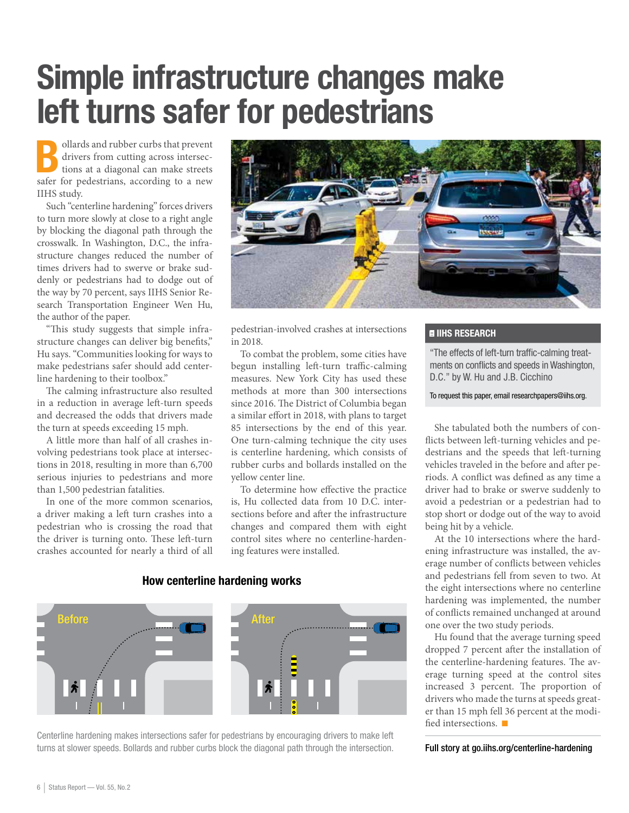## Simple infrastructure changes make left turns safer for pedestrians

Bollards and rubber curbs that prevent<br>drivers from cutting across intersec-<br>tions at a diagonal can make streets drivers from cutting across intersections at a diagonal can make streets safer for pedestrians, according to a new IIHS study.

Such "centerline hardening" forces drivers to turn more slowly at close to a right angle by blocking the diagonal path through the crosswalk. In Washington, D.C., the infrastructure changes reduced the number of times drivers had to swerve or brake suddenly or pedestrians had to dodge out of the way by 70 percent, says IIHS Senior Research Transportation Engineer Wen Hu, the author of the paper.

"This study suggests that simple infrastructure changes can deliver big benefits," Hu says. "Communities looking for ways to make pedestrians safer should add centerline hardening to their toolbox."

The calming infrastructure also resulted in a reduction in average left-turn speeds and decreased the odds that drivers made the turn at speeds exceeding 15 mph.

A little more than half of all crashes involving pedestrians took place at intersections in 2018, resulting in more than 6,700 serious injuries to pedestrians and more than 1,500 pedestrian fatalities.

In one of the more common scenarios, a driver making a left turn crashes into a pedestrian who is crossing the road that the driver is turning onto. These left-turn crashes accounted for nearly a third of all



pedestrian-involved crashes at intersections in 2018.

To combat the problem, some cities have begun installing left-turn traffic-calming measures. New York City has used these methods at more than 300 intersections since 2016. The District of Columbia began a similar effort in 2018, with plans to target 85 intersections by the end of this year. One turn-calming technique the city uses is centerline hardening, which consists of rubber curbs and bollards installed on the yellow center line.

To determine how effective the practice is, Hu collected data from 10 D.C. intersections before and after the infrastructure changes and compared them with eight control sites where no centerline-hardening features were installed.

### **E IIHS RESEARCH**

"The effects of left-turn traffic-calming treatments on conflicts and speeds in Washington, D.C." by W. Hu and J.B. Cicchino

To request this paper, email researchpapers@iihs.org.

She tabulated both the numbers of conflicts between left-turning vehicles and pedestrians and the speeds that left-turning vehicles traveled in the before and after periods. A conflict was defined as any time a driver had to brake or swerve suddenly to avoid a pedestrian or a pedestrian had to stop short or dodge out of the way to avoid being hit by a vehicle.

At the 10 intersections where the hardening infrastructure was installed, the average number of conflicts between vehicles and pedestrians fell from seven to two. At the eight intersections where no centerline hardening was implemented, the number of conflicts remained unchanged at around one over the two study periods.

Hu found that the average turning speed dropped 7 percent after the installation of the centerline-hardening features. The average turning speed at the control sites increased 3 percent. The proportion of drivers who made the turns at speeds greater than 15 mph fell 36 percent at the modified intersections.  $\blacksquare$ 

Full story at go.iihs.org/centerline-hardening

### How centerline hardening works



Centerline hardening makes intersections safer for pedestrians by encouraging drivers to make left turns at slower speeds. Bollards and rubber curbs block the diagonal path through the intersection.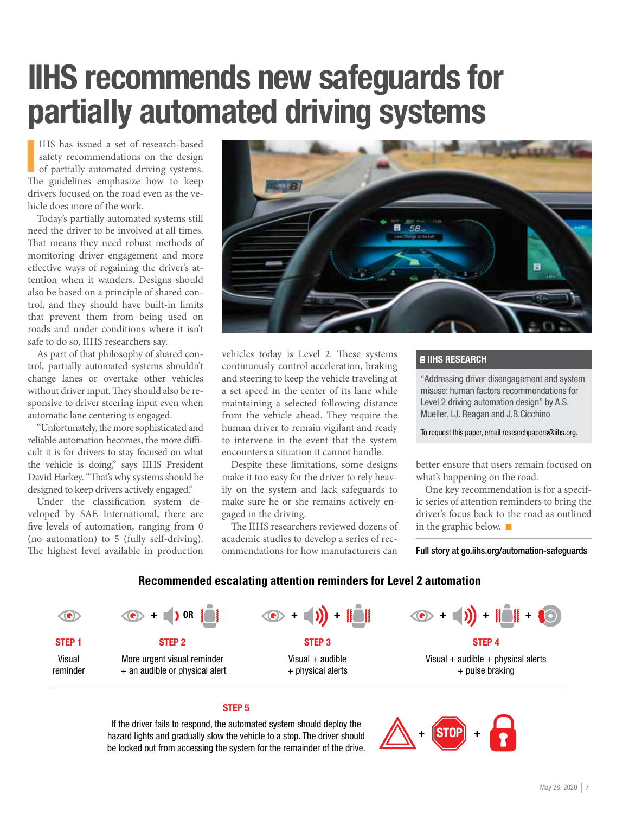## IIHS recommends new safeguards for partially automated driving systems

IHS has issued a set of research-based<br>safety recommendations on the design<br>of partially automated driving systems.<br>The guidelines emphasize how to keep IHS has issued a set of research-based safety recommendations on the design of partially automated driving systems. drivers focused on the road even as the vehicle does more of the work.

Today's partially automated systems still need the driver to be involved at all times. That means they need robust methods of monitoring driver engagement and more effective ways of regaining the driver's attention when it wanders. Designs should also be based on a principle of shared control, and they should have built-in limits that prevent them from being used on roads and under conditions where it isn't safe to do so, IIHS researchers say.

As part of that philosophy of shared control, partially automated systems shouldn't change lanes or overtake other vehicles without driver input. They should also be responsive to driver steering input even when automatic lane centering is engaged.

"Unfortunately, the more sophisticated and reliable automation becomes, the more difficult it is for drivers to stay focused on what the vehicle is doing," says IIHS President David Harkey. "That's why systems should be designed to keep drivers actively engaged."

Under the classification system developed by SAE International, there are five levels of automation, ranging from 0 (no automation) to 5 (fully self-driving). The highest level available in production



vehicles today is Level 2. These systems continuously control acceleration, braking and steering to keep the vehicle traveling at a set speed in the center of its lane while maintaining a selected following distance from the vehicle ahead. They require the human driver to remain vigilant and ready to intervene in the event that the system encounters a situation it cannot handle.

Despite these limitations, some designs make it too easy for the driver to rely heavily on the system and lack safeguards to make sure he or she remains actively engaged in the driving.

The IIHS researchers reviewed dozens of academic studies to develop a series of recommendations for how manufacturers can

### **E IIHS RESEARCH**

"Addressing driver disengagement and system misuse: human factors recommendations for Level 2 driving automation design" by A.S. Mueller, I.J. Reagan and J.B.Cicchino

To request this paper, email researchpapers@iihs.org.

better ensure that users remain focused on what's happening on the road.

One key recommendation is for a specific series of attention reminders to bring the driver's focus back to the road as outlined in the graphic below.  $\blacksquare$ 

Full story at go.iihs.org/automation-safeguards

### **Recommended escalating attention reminders for Level 2 automation**



### STEP 5

If the driver fails to respond, the automated system should deploy the hazard lights and gradually slow the vehicle to a stop. The driver should be locked out from accessing the system for the remainder of the drive.